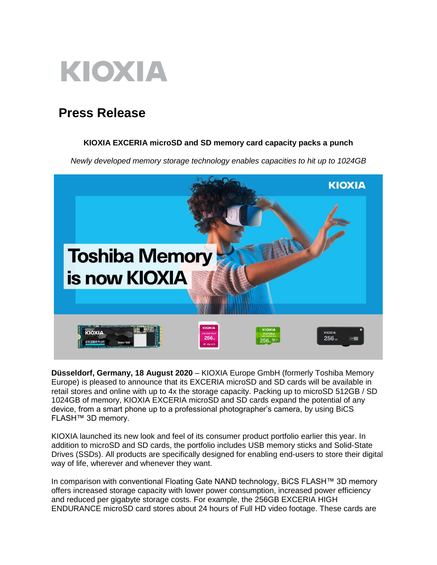

# **Press Release**

### **KIOXIA EXCERIA microSD and SD memory card capacity packs a punch**

*Newly developed memory storage technology enables capacities to hit up to 1024GB* 



**Düsseldorf, Germany, 18 August 2020** – KIOXIA Europe GmbH (formerly Toshiba Memory Europe) is pleased to announce that its EXCERIA microSD and SD cards will be available in retail stores and online with up to 4x the storage capacity. Packing up to microSD 512GB / SD 1024GB of memory, KIOXIA EXCERIA microSD and SD cards expand the potential of any device, from a smart phone up to a professional photographer's camera, by using BiCS FLASH™ 3D memory.

KIOXIA launched its new look and feel of its consumer product portfolio earlier this year. In addition to microSD and SD cards, the portfolio includes USB memory sticks and Solid-State Drives (SSDs). All products are specifically designed for enabling end-users to store their digital way of life, wherever and whenever they want.

In comparison with conventional Floating Gate NAND technology, BiCS FLASH™ 3D memory offers increased storage capacity with lower power consumption, increased power efficiency and reduced per gigabyte storage costs. For example, the 256GB EXCERIA HIGH ENDURANCE microSD card stores about 24 hours of Full HD video footage. These cards are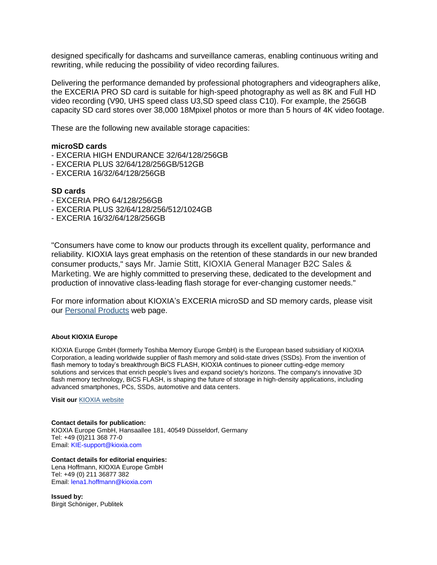designed specifically for dashcams and surveillance cameras, enabling continuous writing and rewriting, while reducing the possibility of video recording failures.

Delivering the performance demanded by professional photographers and videographers alike, the EXCERIA PRO SD card is suitable for high-speed photography as well as 8K and Full HD video recording (V90, UHS speed class U3,SD speed class C10). For example, the 256GB capacity SD card stores over 38,000 18Mpixel photos or more than 5 hours of 4K video footage.

These are the following new available storage capacities:

#### **microSD cards**

- EXCERIA HIGH ENDURANCE 32/64/128/256GB
- EXCERIA PLUS 32/64/128/256GB/512GB
- EXCERIA 16/32/64/128/256GB

#### **SD cards**

- EXCERIA PRO 64/128/256GB
- EXCERIA PLUS 32/64/128/256/512/1024GB
- EXCERIA 16/32/64/128/256GB

"Consumers have come to know our products through its excellent quality, performance and reliability. KIOXIA lays great emphasis on the retention of these standards in our new branded consumer products," says Mr. Jamie Stitt, KIOXIA General Manager B2C Sales & Marketing. We are highly committed to preserving these, dedicated to the development and production of innovative class-leading flash storage for ever-changing customer needs."

For more information about KIOXIA's EXCERIA microSD and SD memory cards, please visit our [Personal Products](https://personal.kioxia.com/en-emea/top.html) web page.

#### **About KIOXIA Europe**

KIOXIA Europe GmbH (formerly Toshiba Memory Europe GmbH) is the European based subsidiary of KIOXIA Corporation, a leading worldwide supplier of flash memory and solid-state drives (SSDs). From the invention of flash memory to today's breakthrough BiCS FLASH, KIOXIA continues to pioneer cutting-edge memory solutions and services that enrich people's lives and expand society's horizons. The company's innovative 3D flash memory technology, BiCS FLASH, is shaping the future of storage in high-density applications, including advanced smartphones, PCs, SSDs, automotive and data centers.

**Visit our** [KIOXIA website](https://www.kioxia.com/en-emea/top.html)

## **Contact details for publication:**

KIOXIA Europe GmbH, Hansaallee 181, 40549 Düsseldorf, Germany Tel: +49 (0)211 368 77-0 Email: KIE-support@kioxia.com

**Contact details for editorial enquiries:** Lena Hoffmann, KIOXIA Europe GmbH Tel: +49 (0) 211 36877 382 Email: lena1.hoffmann@kioxia.com

**Issued by:** Birgit Schöniger, Publitek